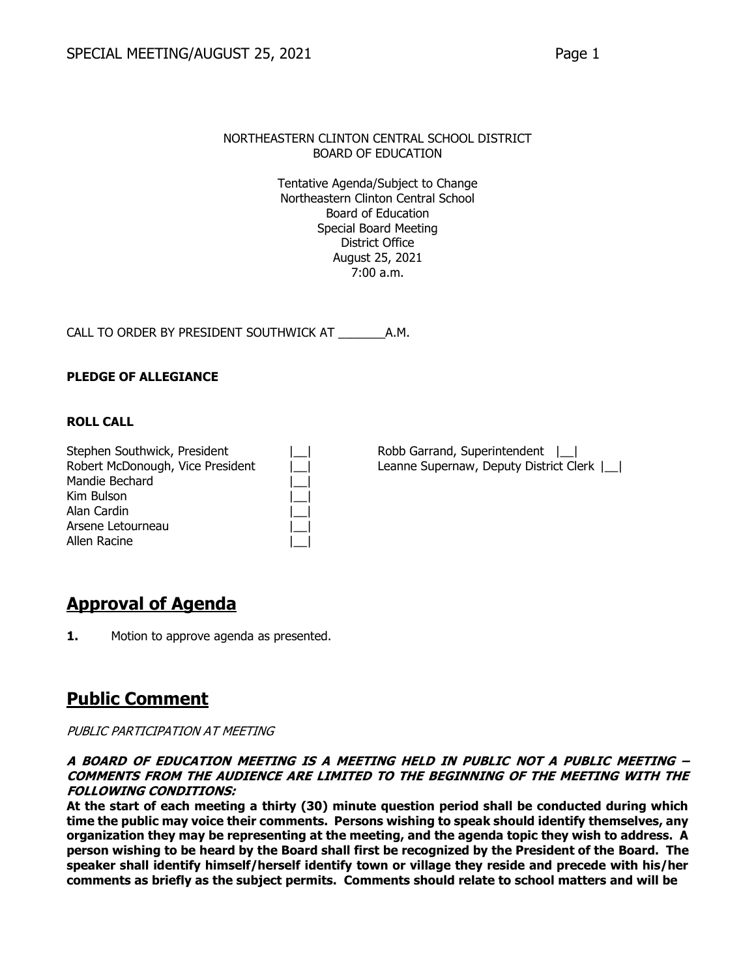BOARD OF EDUCATION

Tentative Agenda/Subject to Change Northeastern Clinton Central School Board of Education Special Board Meeting District Office August 25, 2021 7:00 a.m.

CALL TO ORDER BY PRESIDENT SOUTHWICK AT \_\_\_\_\_\_\_A.M.

### **PLEDGE OF ALLEGIANCE**

#### **ROLL CALL**

| Stephen Southwick, President     |  |
|----------------------------------|--|
| Robert McDonough, Vice President |  |
| Mandie Bechard                   |  |
| Kim Bulson                       |  |
| Alan Cardin                      |  |
| Arsene Letourneau                |  |
| Allen Racine                     |  |

Robb Garrand, Superintendent  $|$ Leanne Supernaw, Deputy District Clerk  $|\_|$ 

### **Approval of Agenda**

**1.** Motion to approve agenda as presented.

### **Public Comment**

#### PUBLIC PARTICIPATION AT MEETING

#### **A BOARD OF EDUCATION MEETING IS A MEETING HELD IN PUBLIC NOT A PUBLIC MEETING – COMMENTS FROM THE AUDIENCE ARE LIMITED TO THE BEGINNING OF THE MEETING WITH THE FOLLOWING CONDITIONS:**

**At the start of each meeting a thirty (30) minute question period shall be conducted during which time the public may voice their comments. Persons wishing to speak should identify themselves, any organization they may be representing at the meeting, and the agenda topic they wish to address. A person wishing to be heard by the Board shall first be recognized by the President of the Board. The speaker shall identify himself/herself identify town or village they reside and precede with his/her comments as briefly as the subject permits. Comments should relate to school matters and will be**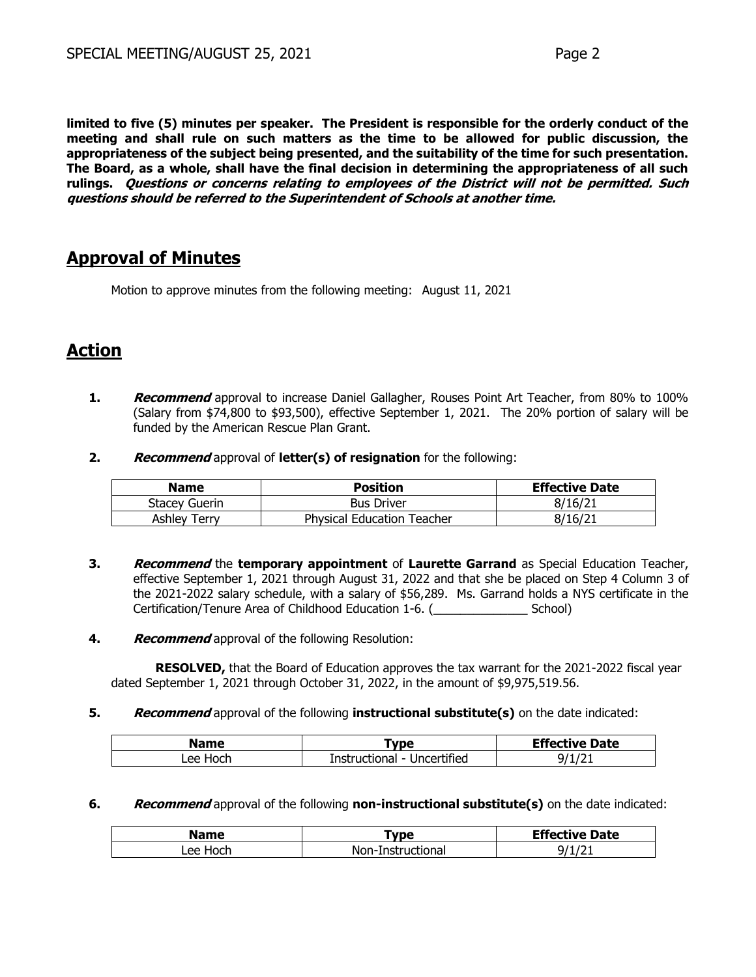**limited to five (5) minutes per speaker. The President is responsible for the orderly conduct of the meeting and shall rule on such matters as the time to be allowed for public discussion, the appropriateness of the subject being presented, and the suitability of the time for such presentation. The Board, as a whole, shall have the final decision in determining the appropriateness of all such rulings. Questions or concerns relating to employees of the District will not be permitted. Such questions should be referred to the Superintendent of Schools at another time.**

## **Approval of Minutes**

Motion to approve minutes from the following meeting: August 11, 2021

## **Action**

- **1. Recommend** approval to increase Daniel Gallagher, Rouses Point Art Teacher, from 80% to 100% (Salary from \$74,800 to \$93,500), effective September 1, 2021. The 20% portion of salary will be funded by the American Rescue Plan Grant.
- **2. Recommend** approval of **letter(s) of resignation** for the following:

| <b>Name</b>         | <b>Position</b>                   | <b>Effective Date</b> |
|---------------------|-----------------------------------|-----------------------|
| Stacey Guerin       | <b>Bus Driver</b>                 | 8/16/21               |
| <b>Ashley Terry</b> | <b>Physical Education Teacher</b> | 8/16/21               |

- **3. Recommend** the **temporary appointment** of **Laurette Garrand** as Special Education Teacher, effective September 1, 2021 through August 31, 2022 and that she be placed on Step 4 Column 3 of the 2021-2022 salary schedule, with a salary of \$56,289. Ms. Garrand holds a NYS certificate in the Certification/Tenure Area of Childhood Education 1-6. (\_\_\_\_\_\_\_\_\_\_\_\_\_\_ School)
- **4. Recommend** approval of the following Resolution:

**RESOLVED,** that the Board of Education approves the tax warrant for the 2021-2022 fiscal year dated September 1, 2021 through October 31, 2022, in the amount of \$9,975,519.56.

**5. Recommend** approval of the following **instructional substitute(s)** on the date indicated:

| <b>Name</b> | `vpe                                | <b>Effective Date</b> |
|-------------|-------------------------------------|-----------------------|
| Hoch<br>∟ee | Uncertified<br>Instructional<br>- 1 | u                     |

**6. Recommend** approval of the following **non-instructional substitute(s)** on the date indicated:

| <b>Name</b>   | <b>vpe</b>        | <b>Effective Date</b> |
|---------------|-------------------|-----------------------|
| ∟ee '<br>Hoch | Non-Instructional | --                    |